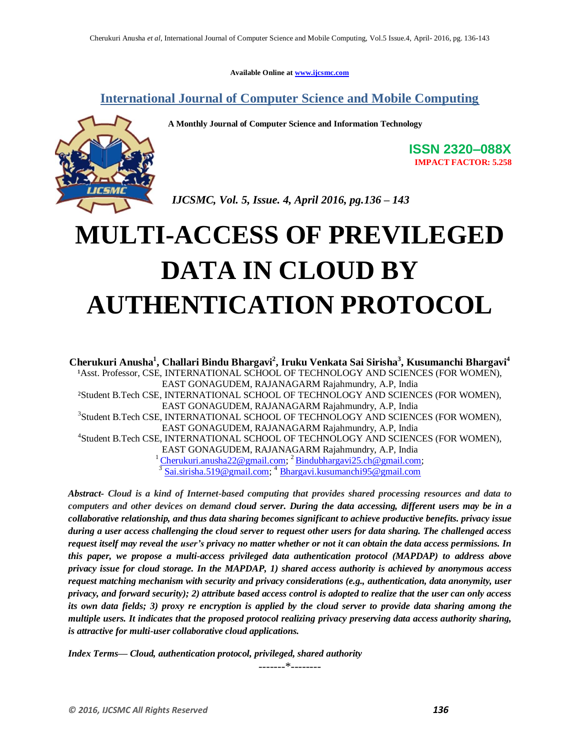**Available Online at www.ijcsmc.com**

**International Journal of Computer Science and Mobile Computing**

 **A Monthly Journal of Computer Science and Information Technology**



**ISSN 2320–088X IMPACT FACTOR: 5.258**

 *IJCSMC, Vol. 5, Issue. 4, April 2016, pg.136 – 143*

# **MULTI-ACCESS OF PREVILEGED DATA IN CLOUD BY AUTHENTICATION PROTOCOL**

**Cherukuri Anusha<sup>1</sup> , Challari Bindu Bhargavi<sup>2</sup> , Iruku Venkata Sai Sirisha<sup>3</sup> , Kusumanchi Bhargavi<sup>4</sup>** <sup>1</sup>Asst. Professor, CSE, INTERNATIONAL SCHOOL OF TECHNOLOGY AND SCIENCES (FOR WOMEN), EAST GONAGUDEM, RAJANAGARM Rajahmundry, A.P, India ²Student B.Tech CSE, INTERNATIONAL SCHOOL OF TECHNOLOGY AND SCIENCES (FOR WOMEN), EAST GONAGUDEM, RAJANAGARM Rajahmundry, A.P, India 3 Student B.Tech CSE, INTERNATIONAL SCHOOL OF TECHNOLOGY AND SCIENCES (FOR WOMEN), EAST GONAGUDEM, RAJANAGARM Rajahmundry, A.P, India 4 Student B.Tech CSE, INTERNATIONAL SCHOOL OF TECHNOLOGY AND SCIENCES (FOR WOMEN), EAST GONAGUDEM, RAJANAGARM Rajahmundry, A.P, India <sup>1</sup>Cherukuri.anusha22@gmail.com; <sup>2</sup>Bindubhargavi25.ch@gmail.com;  $\frac{3}{3}$ Sai.sirisha.519@gmail.com;  $\frac{4}{3}$ Bhargavi.kusumanchi95@gmail.com

*Abstract- Cloud is a kind of Internet-based computing that provides shared processing resources and data to computers and other devices on demand cloud server. During the data accessing, different users may be in a collaborative relationship, and thus data sharing becomes significant to achieve productive benefits. privacy issue during a user access challenging the cloud server to request other users for data sharing. The challenged access request itself may reveal the user's privacy no matter whether or not it can obtain the data access permissions. In this paper, we propose a multi-access privileged data authentication protocol (MAPDAP) to address above privacy issue for cloud storage. In the MAPDAP, 1) shared access authority is achieved by anonymous access request matching mechanism with security and privacy considerations (e.g., authentication, data anonymity, user privacy, and forward security); 2) attribute based access control is adopted to realize that the user can only access its own data fields; 3) proxy re encryption is applied by the cloud server to provide data sharing among the multiple users. It indicates that the proposed protocol realizing privacy preserving data access authority sharing, is attractive for multi-user collaborative cloud applications.*

*Index Terms— Cloud, authentication protocol, privileged, shared authority*

-------\*--------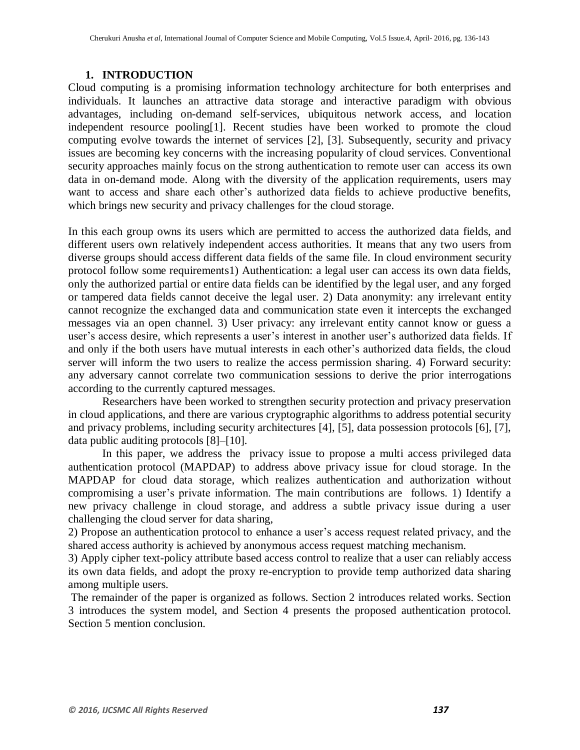#### **1. INTRODUCTION**

Cloud computing is a promising information technology architecture for both enterprises and individuals. It launches an attractive data storage and interactive paradigm with obvious advantages, including on-demand self-services, ubiquitous network access, and location independent resource pooling[1]. Recent studies have been worked to promote the cloud computing evolve towards the internet of services [2], [3]. Subsequently, security and privacy issues are becoming key concerns with the increasing popularity of cloud services. Conventional security approaches mainly focus on the strong authentication to remote user can access its own data in on-demand mode. Along with the diversity of the application requirements, users may want to access and share each other's authorized data fields to achieve productive benefits, which brings new security and privacy challenges for the cloud storage.

In this each group owns its users which are permitted to access the authorized data fields, and different users own relatively independent access authorities. It means that any two users from diverse groups should access different data fields of the same file. In cloud environment security protocol follow some requirements1) Authentication: a legal user can access its own data fields, only the authorized partial or entire data fields can be identified by the legal user, and any forged or tampered data fields cannot deceive the legal user. 2) Data anonymity: any irrelevant entity cannot recognize the exchanged data and communication state even it intercepts the exchanged messages via an open channel. 3) User privacy: any irrelevant entity cannot know or guess a user's access desire, which represents a user's interest in another user's authorized data fields. If and only if the both users have mutual interests in each other's authorized data fields, the cloud server will inform the two users to realize the access permission sharing. 4) Forward security: any adversary cannot correlate two communication sessions to derive the prior interrogations according to the currently captured messages.

Researchers have been worked to strengthen security protection and privacy preservation in cloud applications, and there are various cryptographic algorithms to address potential security and privacy problems, including security architectures [4], [5], data possession protocols [6], [7], data public auditing protocols [8]–[10].

In this paper, we address the privacy issue to propose a multi access privileged data authentication protocol (MAPDAP) to address above privacy issue for cloud storage. In the MAPDAP for cloud data storage, which realizes authentication and authorization without compromising a user's private information. The main contributions are follows. 1) Identify a new privacy challenge in cloud storage, and address a subtle privacy issue during a user challenging the cloud server for data sharing,

2) Propose an authentication protocol to enhance a user's access request related privacy, and the shared access authority is achieved by anonymous access request matching mechanism.

3) Apply cipher text-policy attribute based access control to realize that a user can reliably access its own data fields, and adopt the proxy re-encryption to provide temp authorized data sharing among multiple users.

The remainder of the paper is organized as follows. Section 2 introduces related works. Section 3 introduces the system model, and Section 4 presents the proposed authentication protocol. Section 5 mention conclusion.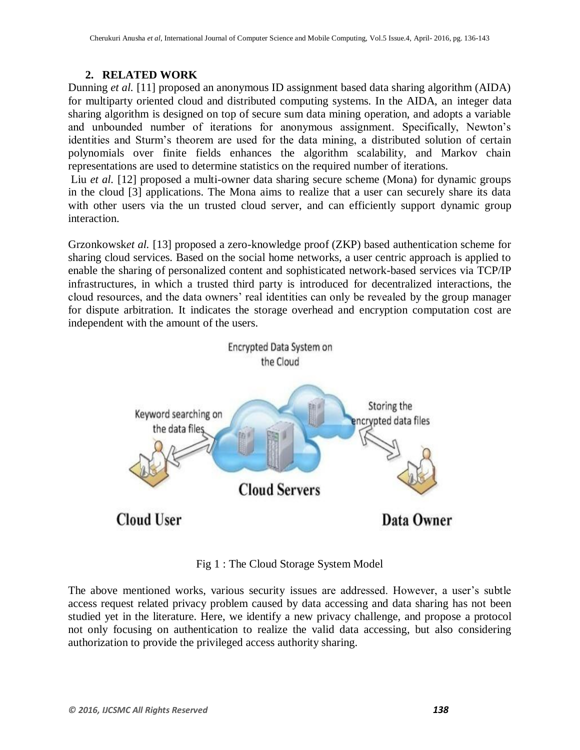## **2. RELATED WORK**

Dunning *et al.* [11] proposed an anonymous ID assignment based data sharing algorithm (AIDA) for multiparty oriented cloud and distributed computing systems. In the AIDA, an integer data sharing algorithm is designed on top of secure sum data mining operation, and adopts a variable and unbounded number of iterations for anonymous assignment. Specifically, Newton's identities and Sturm's theorem are used for the data mining, a distributed solution of certain polynomials over finite fields enhances the algorithm scalability, and Markov chain representations are used to determine statistics on the required number of iterations.

Liu *et al.* [12] proposed a multi-owner data sharing secure scheme (Mona) for dynamic groups in the cloud [3] applications. The Mona aims to realize that a user can securely share its data with other users via the un trusted cloud server, and can efficiently support dynamic group interaction.

Grzonkowsk*et al.* [13] proposed a zero-knowledge proof (ZKP) based authentication scheme for sharing cloud services. Based on the social home networks, a user centric approach is applied to enable the sharing of personalized content and sophisticated network-based services via TCP/IP infrastructures, in which a trusted third party is introduced for decentralized interactions, the cloud resources, and the data owners' real identities can only be revealed by the group manager for dispute arbitration. It indicates the storage overhead and encryption computation cost are independent with the amount of the users.



Fig 1 : The Cloud Storage System Model

The above mentioned works, various security issues are addressed. However, a user's subtle access request related privacy problem caused by data accessing and data sharing has not been studied yet in the literature. Here, we identify a new privacy challenge, and propose a protocol not only focusing on authentication to realize the valid data accessing, but also considering authorization to provide the privileged access authority sharing.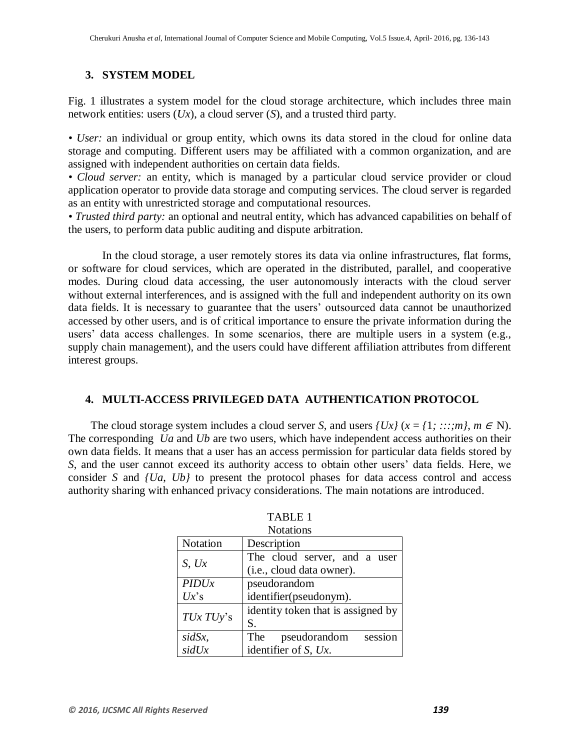#### **3. SYSTEM MODEL**

Fig. 1 illustrates a system model for the cloud storage architecture, which includes three main network entities: users (*Ux*), a cloud server (*S*), and a trusted third party.

*• User:* an individual or group entity, which owns its data stored in the cloud for online data storage and computing. Different users may be affiliated with a common organization, and are assigned with independent authorities on certain data fields.

• *Cloud server:* an entity, which is managed by a particular cloud service provider or cloud application operator to provide data storage and computing services. The cloud server is regarded as an entity with unrestricted storage and computational resources.

*• Trusted third party:* an optional and neutral entity, which has advanced capabilities on behalf of the users, to perform data public auditing and dispute arbitration.

In the cloud storage, a user remotely stores its data via online infrastructures, flat forms, or software for cloud services, which are operated in the distributed, parallel, and cooperative modes. During cloud data accessing, the user autonomously interacts with the cloud server without external interferences, and is assigned with the full and independent authority on its own data fields. It is necessary to guarantee that the users' outsourced data cannot be unauthorized accessed by other users, and is of critical importance to ensure the private information during the users' data access challenges. In some scenarios, there are multiple users in a system (e.g., supply chain management), and the users could have different affiliation attributes from different interest groups.

#### **4. MULTI-ACCESS PRIVILEGED DATA AUTHENTICATION PROTOCOL**

The cloud storage system includes a cloud server *S*, and users  $\{Ux\}$  ( $x = \{1, \ldots, m\}$ ,  $m \in \mathbb{N}$ ). The corresponding *Ua* and *Ub* are two users, which have independent access authorities on their own data fields. It means that a user has an access permission for particular data fields stored by *S*, and the user cannot exceed its authority access to obtain other users' data fields. Here, we consider *S* and *{Ua*, *Ub}* to present the protocol phases for data access control and access authority sharing with enhanced privacy considerations. The main notations are introduced.

| Notation  | Description                        |
|-----------|------------------------------------|
| S, Ux     | The cloud server, and a user       |
|           | (i.e., cloud data owner).          |
| PIDUx     | pseudorandom                       |
| $Ux$ 's   | identifier(pseudonym).             |
| TUx TUy's | identity token that is assigned by |
|           | S.                                 |
| sidSx,    | session<br>The<br>pseudorandom     |
| sidUx     | identifier of $S$ , $Ux$ .         |

| <b>TABLE 1</b>   |  |
|------------------|--|
| <b>Notations</b> |  |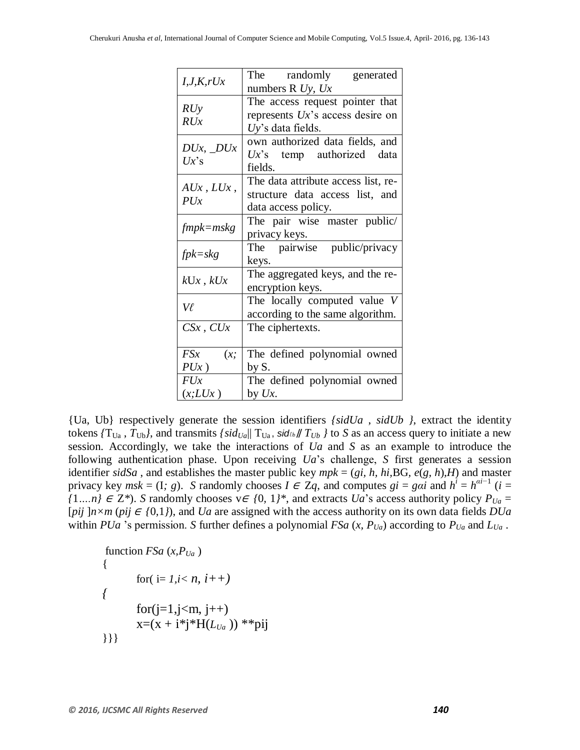| I, J, K, rUx             | The randomly generated              |
|--------------------------|-------------------------------------|
|                          | numbers R $Uy$ , $Ux$               |
| RUy<br>RUx               | The access request pointer that     |
|                          | represents $Ux$ 's access desire on |
|                          | $Uy$ 's data fields.                |
| $DUx, \_DUx$<br>$Ux$ 's  | own authorized data fields, and     |
|                          | $Ux$ 's temp authorized data        |
|                          | fields.                             |
| $A Ux$ , $L Ux$ ,<br>PUx | The data attribute access list, re- |
|                          | structure data access list, and     |
|                          | data access policy.                 |
| $fmpk=mskg$              | The pair wise master public/        |
|                          | privacy keys.                       |
| $fpk = skg$              | The pairwise public/privacy         |
|                          | keys.                               |
| $kUx$ , $kUx$            | The aggregated keys, and the re-    |
|                          | encryption keys.                    |
| Vl                       | The locally computed value V        |
|                          | according to the same algorithm.    |
| $CSx$ , $CUx$            | The ciphertexts.                    |
|                          |                                     |
| FSx<br>(x;               | The defined polynomial owned        |
| $PUx$ )                  | by S.                               |
| FUx                      | The defined polynomial owned        |
| (x;LUx)                  | by $Ux$ .                           |

{Ua, Ub} respectively generate the session identifiers *{sidUa* , *sidUb }*, extract the identity tokens  ${T_{U_a}$ ,  $T_{U_b}}$ , and transmits  $\{sid_{U_a}||T_{U_a}$ , sid $U_b||T_{U_b}$  to *S* as an access query to initiate a new session. Accordingly, we take the interactions of *Ua* and *S* as an example to introduce the following authentication phase. Upon receiving *Ua*'s challenge, *S* first generates a session identifier *sidSa* , and establishes the master public key *mpk* = (*gi, h, hi,*BG*, e*(*g, h*)*,H*) and master privacy key  $msk = (1, g)$ . *S* randomly chooses  $I \in \mathbb{Z}q$ , and computes  $gi = gai$  and  $h^i = h^{ai-1}$  ( $i =$ *{*1*…n}* ∈ Z<sup>\*</sup>). *S* randomly chooses  $v ∈ {0, 1}^*$ , and extracts *Ua*'s access authority policy  $P_{Ua} =$ [*pij*  $]n \times m$  (*pij*  $\in$  {0,1}), and *Ua* are assigned with the access authority on its own data fields *DUa* within *PUa* 's permission. *S* further defines a polynomial *FSa*  $(x, P_{Ua})$  according to  $P_{Ua}$  and  $L_{Ua}$ .

function 
$$
FSa(x, P_{Ua})
$$
  
\n{  
\nfor (i= 1, i < n, i++)  
\n{  
\nfor (j=1, j < m, j++)  
\n $x=(x + i^*j^*H(L_{Ua}))^{**}pij$ }}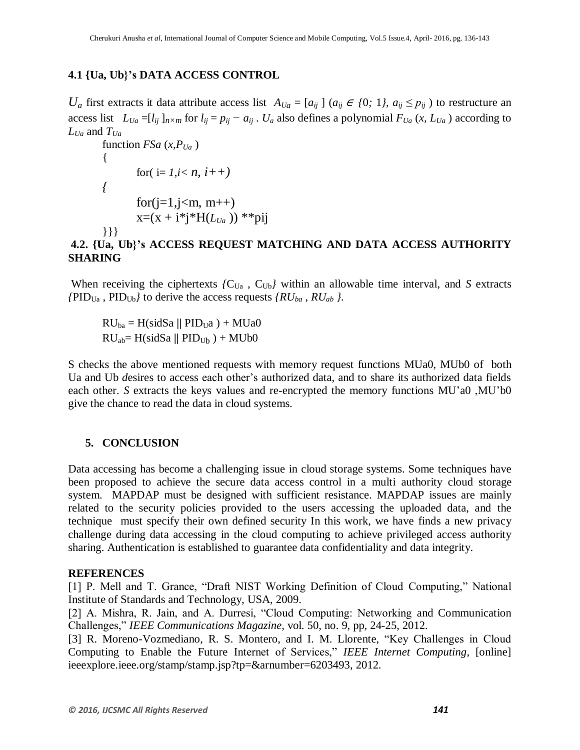### **4.1 {Ua, Ub}'s DATA ACCESS CONTROL**

*U<sub>a</sub>* first extracts it data attribute access list  $A_{U_a} = [a_{ij}] (a_{ij} \in \{0; 1\}, a_{ij} \leq p_{ij})$  to restructure an access list  $L_{Ua} = [l_{ij}]_{n \times m}$  for  $l_{ij} = p_{ij} - a_{ij}$ .  $U_a$  also defines a polynomial  $F_{Ua}$  (x,  $L_{Ua}$ ) according to *LUa* and *TUa*

```
function FSa(x, P_{Ua}){
       for( i=1, i < n, i++){
       for(j=1, j\le m, m++)x=(x + i^*i^*H(L_{Ua})) **pij
}}}
```
# **4.2. {Ua, Ub}'s ACCESS REQUEST MATCHING AND DATA ACCESS AUTHORITY SHARING**

When receiving the ciphertexts  ${C_{Ua}}$ ,  ${C_{Ub}}$  within an allowable time interval, and *S* extracts  ${PID_{Ua}}$ ,  ${PID_{Ub}}$  to derive the access requests  ${RU_{ba}}$ ,  ${RU_{ab}}$ .

 $RU_{ba} = H(sidSa || PID<sub>U</sub>a) + MUa0$  $RU<sub>ab</sub>= H(sidSa || PID<sub>Ub</sub>) + MUb0$ 

S checks the above mentioned requests with memory request functions MUa0, MUb0 of both Ua and Ub *d*esires to access each other's authorized data, and to share its authorized data fields each other. *S* extracts the keys values and re-encrypted the memory functions MU'a0 ,MU'b0 give the chance to read the data in cloud systems.

#### **5. CONCLUSION**

Data accessing has become a challenging issue in cloud storage systems. Some techniques have been proposed to achieve the secure data access control in a multi authority cloud storage system. MAPDAP must be designed with sufficient resistance. MAPDAP issues are mainly related to the security policies provided to the users accessing the uploaded data, and the technique must specify their own defined security In this work, we have finds a new privacy challenge during data accessing in the cloud computing to achieve privileged access authority sharing. Authentication is established to guarantee data confidentiality and data integrity.

#### **REFERENCES**

[1] P. Mell and T. Grance, "Draft NIST Working Definition of Cloud Computing," National Institute of Standards and Technology, USA, 2009.

[2] A. Mishra, R. Jain, and A. Durresi, "Cloud Computing: Networking and Communication Challenges," *IEEE Communications Magazine*, vol. 50, no. 9, pp, 24-25, 2012.

[3] R. Moreno-Vozmediano, R. S. Montero, and I. M. Llorente, "Key Challenges in Cloud Computing to Enable the Future Internet of Services," *IEEE Internet Computing*, [online] ieeexplore.ieee.org/stamp/stamp.jsp?tp=&arnumber=6203493, 2012.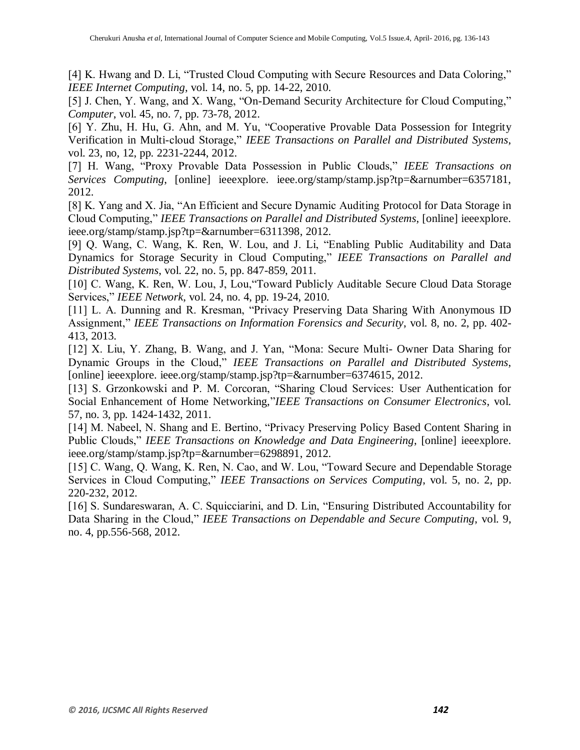[4] K. Hwang and D. Li, "Trusted Cloud Computing with Secure Resources and Data Coloring," *IEEE Internet Computing*, vol. 14, no. 5, pp. 14-22, 2010.

[5] J. Chen, Y. Wang, and X. Wang, "On-Demand Security Architecture for Cloud Computing," *Computer*, vol. 45, no. 7, pp. 73-78, 2012.

[6] Y. Zhu, H. Hu, G. Ahn, and M. Yu, "Cooperative Provable Data Possession for Integrity Verification in Multi-cloud Storage," *IEEE Transactions on Parallel and Distributed Systems*, vol. 23, no, 12, pp. 2231-2244, 2012.

[7] H. Wang, "Proxy Provable Data Possession in Public Clouds," *IEEE Transactions on Services Computing*, [online] ieeexplore. ieee.org/stamp/stamp.jsp?tp=&arnumber=6357181, 2012.

[8] K. Yang and X. Jia, "An Efficient and Secure Dynamic Auditing Protocol for Data Storage in Cloud Computing," *IEEE Transactions on Parallel and Distributed Systems*, [online] ieeexplore. ieee.org/stamp/stamp.jsp?tp=&arnumber=6311398, 2012.

[9] Q. Wang, C. Wang, K. Ren, W. Lou, and J. Li, "Enabling Public Auditability and Data Dynamics for Storage Security in Cloud Computing," *IEEE Transactions on Parallel and Distributed Systems*, vol. 22, no. 5, pp. 847-859, 2011.

[10] C. Wang, K. Ren, W. Lou, J. Lou, "Toward Publicly Auditable Secure Cloud Data Storage Services," *IEEE Network*, vol. 24, no. 4, pp. 19-24, 2010.

[11] L. A. Dunning and R. Kresman, "Privacy Preserving Data Sharing With Anonymous ID Assignment," *IEEE Transactions on Information Forensics and Security*, vol. 8, no. 2, pp. 402- 413, 2013.

[12] X. Liu, Y. Zhang, B. Wang, and J. Yan, "Mona: Secure Multi- Owner Data Sharing for Dynamic Groups in the Cloud," *IEEE Transactions on Parallel and Distributed Systems*, [online] ieeexplore. ieee.org/stamp/stamp.jsp?tp=&arnumber=6374615, 2012.

[13] S. Grzonkowski and P. M. Corcoran, "Sharing Cloud Services: User Authentication for Social Enhancement of Home Networking,"*IEEE Transactions on Consumer Electronics*, vol. 57, no. 3, pp. 1424-1432, 2011.

[14] M. Nabeel, N. Shang and E. Bertino, "Privacy Preserving Policy Based Content Sharing in Public Clouds," *IEEE Transactions on Knowledge and Data Engineering*, [online] ieeexplore. ieee.org/stamp/stamp.jsp?tp=&arnumber=6298891, 2012.

[15] C. Wang, Q. Wang, K. Ren, N. Cao, and W. Lou, "Toward Secure and Dependable Storage Services in Cloud Computing," *IEEE Transactions on Services Computing*, vol. 5, no. 2, pp. 220-232, 2012.

[16] S. Sundareswaran, A. C. Squicciarini, and D. Lin, "Ensuring Distributed Accountability for Data Sharing in the Cloud," *IEEE Transactions on Dependable and Secure Computing*, vol. 9, no. 4, pp.556-568, 2012.